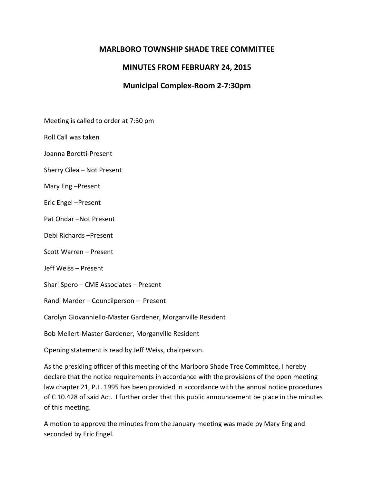### **MARLBORO TOWNSHIP SHADE TREE COMMITTEE**

# **MINUTES FROM FEBRUARY 24, 2015**

# **Municipal Complex-Room 2-7:30pm**

Meeting is called to order at 7:30 pm

Roll Call was taken

Joanna Boretti-Present

Sherry Cilea – Not Present

Mary Eng –Present

Eric Engel –Present

Pat Ondar –Not Present

Debi Richards –Present

Scott Warren – Present

Jeff Weiss – Present

Shari Spero – CME Associates – Present

Randi Marder – Councilperson – Present

Carolyn Giovanniello-Master Gardener, Morganville Resident

Bob Mellert-Master Gardener, Morganville Resident

Opening statement is read by Jeff Weiss, chairperson.

As the presiding officer of this meeting of the Marlboro Shade Tree Committee, I hereby declare that the notice requirements in accordance with the provisions of the open meeting law chapter 21, P.L. 1995 has been provided in accordance with the annual notice procedures of C 10.428 of said Act. I further order that this public announcement be place in the minutes of this meeting.

A motion to approve the minutes from the January meeting was made by Mary Eng and seconded by Eric Engel.